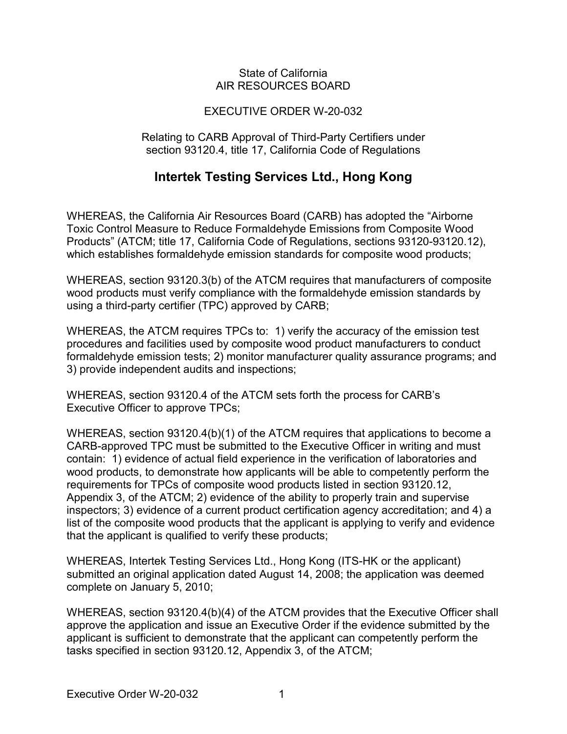## State of California AIR RESOURCES BOARD

## EXECUTIVE ORDER W-20-032

Relating to CARB Approval of Third-Party Certifiers under section 93120.4, title 17, California Code of Regulations

## **Intertek Testing Services Ltd., Hong Kong**

 which establishes formaldehyde emission standards for composite wood products; WHEREAS, the California Air Resources Board (CARB) has adopted the "Airborne Toxic Control Measure to Reduce Formaldehyde Emissions from Composite Wood Products" (ATCM; title 17, California Code of Regulations, sections [93120-93120.12\)](https://93120-93120.12),

 using a third-party certifier (TPC) approved by CARB; WHEREAS, section 93120.3(b) of the ATCM requires that manufacturers of composite wood products must verify compliance with the formaldehyde emission standards by

 WHEREAS, the ATCM requires TPCs to: 1) verify the accuracy of the emission test procedures and facilities used by composite wood product manufacturers to conduct formaldehyde emission tests; 2) monitor manufacturer quality assurance programs; and 3) provide independent audits and inspections;

 WHEREAS, section 93120.4 of the ATCM sets forth the process for CARB's Executive Officer to approve TPCs;

 CARB-approved TPC must be submitted to the Executive Officer in writing and must contain: 1) evidence of actual field experience in the verification of laboratories and that the applicant is qualified to verify these products; WHEREAS, section 93120.4(b)(1) of the ATCM requires that applications to become a wood products, to demonstrate how applicants will be able to competently perform the requirements for TPCs of composite wood products listed in section [93120.12](https://93120.12), Appendix 3, of the ATCM; 2) evidence of the ability to properly train and supervise inspectors; 3) evidence of a current product certification agency accreditation; and 4) a list of the composite wood products that the applicant is applying to verify and evidence

 WHEREAS, Intertek Testing Services Ltd., Hong Kong (ITS-HK or the applicant) submitted an original application dated August 14, 2008; the application was deemed complete on January 5, 2010;

 tasks specified in section [93120.12](https://93120.12), Appendix 3, of the ATCM; WHEREAS, section 93120.4(b)(4) of the ATCM provides that the Executive Officer shall approve the application and issue an Executive Order if the evidence submitted by the applicant is sufficient to demonstrate that the applicant can competently perform the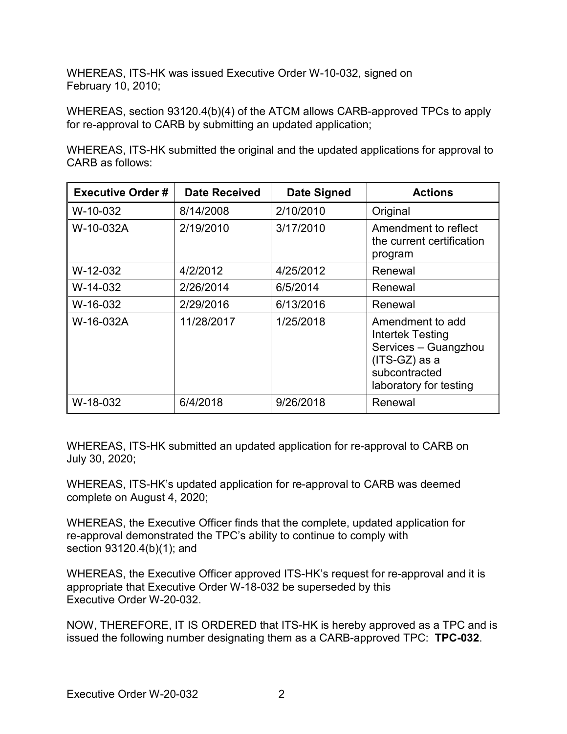WHEREAS, ITS-HK was issued Executive Order W-10-032, signed on February 10, 2010;

 WHEREAS, section 93120.4(b)(4) of the ATCM allows CARB-approved TPCs to apply for re-approval to CARB by submitting an updated application;

WHEREAS, ITS-HK submitted the original and the updated applications for approval to CARB as follows:

| <b>Executive Order#</b> | <b>Date Received</b> | <b>Date Signed</b> | <b>Actions</b>                                                                                                             |
|-------------------------|----------------------|--------------------|----------------------------------------------------------------------------------------------------------------------------|
| W-10-032                | 8/14/2008            | 2/10/2010          | Original                                                                                                                   |
| W-10-032A               | 2/19/2010            | 3/17/2010          | Amendment to reflect<br>the current certification<br>program                                                               |
| W-12-032                | 4/2/2012             | 4/25/2012          | Renewal                                                                                                                    |
| W-14-032                | 2/26/2014            | 6/5/2014           | Renewal                                                                                                                    |
| W-16-032                | 2/29/2016            | 6/13/2016          | Renewal                                                                                                                    |
| W-16-032A               | 11/28/2017           | 1/25/2018          | Amendment to add<br>Intertek Testing<br>Services - Guangzhou<br>$(ITS-GZ)$ as a<br>subcontracted<br>laboratory for testing |
| W-18-032                | 6/4/2018             | 9/26/2018          | Renewal                                                                                                                    |

WHEREAS, ITS-HK submitted an updated application for re-approval to CARB on July 30, 2020;

WHEREAS, ITS-HK's updated application for re-approval to CARB was deemed complete on August 4, 2020;

 section 93120.4(b)(1); and WHEREAS, the Executive Officer finds that the complete, updated application for re-approval demonstrated the TPC's ability to continue to comply with

 appropriate that Executive Order W-18-032 be superseded by this Executive Order W-20-032. WHEREAS, the Executive Officer approved ITS-HK's request for re-approval and it is

 NOW, THEREFORE, IT IS ORDERED that ITS-HK is hereby approved as a TPC and is issued the following number designating them as a CARB-approved TPC: **TPC-032**.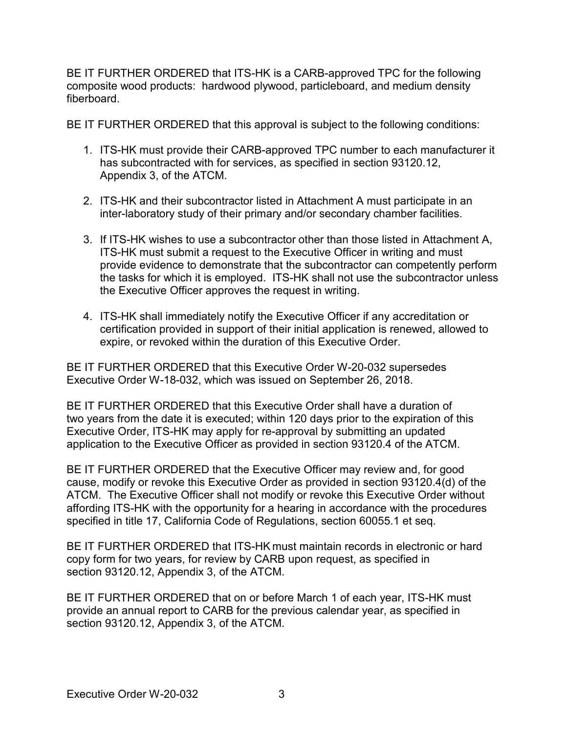BE IT FURTHER ORDERED that ITS-HK is a CARB-approved TPC for the following composite wood products: hardwood plywood, particleboard, and medium density fiberboard

fiberboard.<br>BE IT FURTHER ORDERED that this approval is subject to the following conditions:

- 1. ITS-HK must provide their CARB-approved TPC number to each manufacturer it Appendix 3, of the ATCM. has subcontracted with for services, as specified in section [93120.12,](https://93120.12)
- 2. ITS-HK and their subcontractor listed in Attachment A must participate in an inter-laboratory study of their primary and/or secondary chamber facilities.
- 3. If ITS-HK wishes to use a subcontractor other than those listed in Attachment A, the tasks for which it is employed. ITS-HK shall not use the subcontractor unless the Executive Officer approves the request in writing. ITS-HK must submit a request to the Executive Officer in writing and must provide evidence to demonstrate that the subcontractor can competently perform
- 4. ITS-HK shall immediately notify the Executive Officer if any accreditation or expire, or revoked within the duration of this Executive Order. certification provided in support of their initial application is renewed, allowed to

 BE IT FURTHER ORDERED that this Executive Order W-20-032 supersedes Executive Order W-18-032, which was issued on September 26, 2018.

 application to the Executive Officer as provided in section 93120.4 of the ATCM. BE IT FURTHER ORDERED that this Executive Order shall have a duration of two years from the date it is executed; within 120 days prior to the expiration of this Executive Order, ITS-HK may apply for re-approval by submitting an updated

 BE IT FURTHER ORDERED that the Executive Officer may review and, for good ATCM. The Executive Officer shall not modify or revoke this Executive Order without specified in title 17, California Code of Regulations, section 60055.1 et seq. cause, modify or revoke this Executive Order as provided in section 93120.4(d) of the affording ITS-HK with the opportunity for a hearing in accordance with the procedures

 BE IT FURTHER ORDERED that ITS-HK must maintain records in electronic or hard copy form for two years, for review by CARB upon request, as specified in section [93120.12,](https://93120.12) Appendix 3, of the ATCM.

 BE IT FURTHER ORDERED that on or before March 1 of each year, ITS-HK must section [93120.12,](https://93120.12) Appendix 3, of the ATCM. provide an annual report to CARB for the previous calendar year, as specified in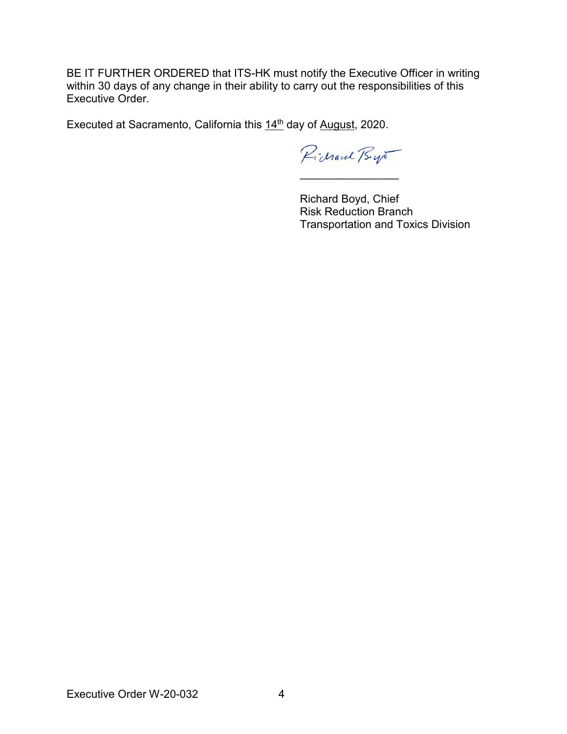BE IT FURTHER ORDERED that ITS-HK must notify the Executive Officer in writing within 30 days of any change in their ability to carry out the responsibilities of this Executive Order.

Executed at Sacramento, California this 14<sup>th</sup> day of August, 2020.

Pichard Bys \_\_\_\_\_\_\_\_\_\_\_\_\_\_\_\_

Richard Boyd, Chief Risk Reduction Branch Transportation and Toxics Division